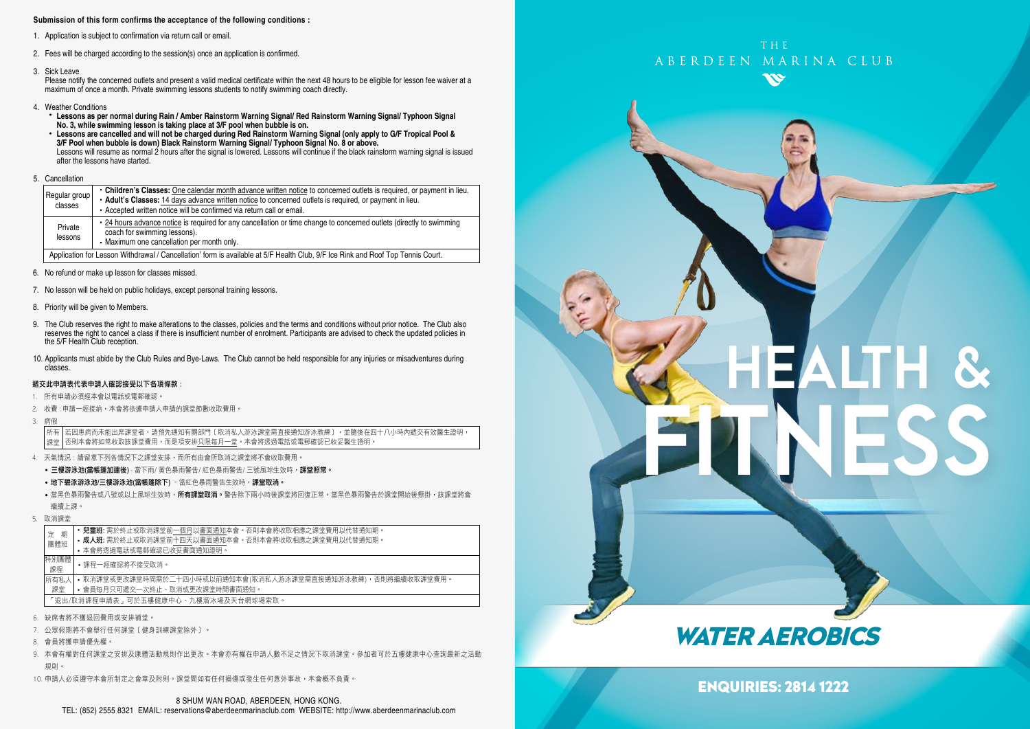#### **Submission of this form confirms the acceptance of the following conditions :**

- 1. Application is subject to confirmation via return call or email.
- 2. Fees will be charged according to the session(s) once an application is confirmed.
- 3. Sick Leave

Please notify the concerned outlets and present a valid medical certificate within the next 48 hours to be eligible for lesson fee waiver at a maximum of once a month. Private swimming lessons students to notify swimming coach directly.

- 4. Weather Conditions
	-
- \* Lessons as per normal during Rain / Amber Rainstorm Warning Signal/ Red Rainstorm Warning Signal/ Typhoon Signal<br>No. 3, while swimming lesson is taking place at 3/F pool when bubble is on.<br>• Lessons are cancelled and w Lessons will resume as normal 2 hours after the signal is lowered. Lessons will continue if the black rainstorm warning signal is issued after the lessons have started.

#### 5. Cancellation

| Regular group<br>classes                                                                                                        | Children's Classes: One calendar month advance written notice to concerned outlets is required, or payment in lieu.<br>. Adult's Classes: 14 days advance written notice to concerned outlets is required, or payment in lieu.<br>• Accepted written notice will be confirmed via return call or email. |  |  |
|---------------------------------------------------------------------------------------------------------------------------------|---------------------------------------------------------------------------------------------------------------------------------------------------------------------------------------------------------------------------------------------------------------------------------------------------------|--|--|
| Private<br>lessons                                                                                                              | • 24 hours advance notice is required for any cancellation or time change to concerned outlets (directly to swimming<br>coach for swimming lessons).<br>• Maximum one cancellation per month only.                                                                                                      |  |  |
| Application for Lesson Withdrawal / Cancellation' form is available at 5/F Health Club, 9/F Ice Rink and Roof Top Tennis Court. |                                                                                                                                                                                                                                                                                                         |  |  |

6. No refund or make up lesson for classes missed.

- 7. No lesson will be held on public holidays, except personal training lessons.
- 8. Priority will be given to Members.
- 9. The Club reserves the right to make alterations to the classes, policies and the terms and conditions without prior notice. The Club also reserves the right to cancel a class if there is insufficient number of enrolment. Participants are advised to check the updated policies in the 5/F Health Club reception.
- 10. Applicants must abide by the Club Rules and Bye-Laws. The Club cannot be held responsible for any injuries or misadventures during classes.

#### 遞交此申請表代表申請人確認接受以下各項條款 :

- 1. 所有申請必須經本會以電話或電郵確認。
- 2. 收費 : 申請一經接納,本會將依據申請人申請的課堂節數收取費用。
- 3. 病假

若因患病而未能出席課堂者,請預先通知有關部門﹝取消私人游泳課堂需直接通知游泳教練﹞,並隨後在四十八小時內遞交有效醫生證明, 否則本會將如常收取該課堂費用,而是項安排只限每月一堂。本會將透過電話或電郵確認已收妥醫生證明 所有 課堂

- 4. 天氣情況 : 請留意下列各情況下之課堂安排,而所有由會所取消之課堂將不會收取費用。
	- 三樓游泳池(當帳篷加建後) 當下雨/ 黃色暴雨警告/ 紅色暴雨警告/ 三號風球生效時,課堂照常
	- 地下碧泳游泳池/三樓游泳池(當帳篷除下) 當紅色暴雨警告生效時,課堂取消。
	- •當黑色暴雨警告或八號或以上風球生效時,**所有課堂取消。**警告除下兩小時後課堂將回復正常。當黑色暴雨警告於課堂開始後懸掛,該課堂將會 繼續上課。
- 5. 取消課堂

| 期<br>定                              | <b>兒童班:</b> 需於終止或取消課堂前一個月以書面通知本會。否則本會將收取相應之課堂費用以代替通知期。      |  |  |  |  |
|-------------------------------------|-------------------------------------------------------------|--|--|--|--|
| 團體班                                 | • 成人班: 需於終止或取消課堂前十四天以書面通知本會。否則本會將收取相應之課堂費用以代替通知期。           |  |  |  |  |
|                                     | • 本會將诱過電話或電郵確認已收妥書面通知證明。                                    |  |  |  |  |
| 特別團體<br>課程                          | •課程一經確認將不接受取消。                                              |  |  |  |  |
| 所有私人                                | • 取消課堂或更改課堂時間需於二十四小時或以前通知本會(取消私人游泳課堂需直接通知游泳教練),否則將繼續收取課堂費用。 |  |  |  |  |
| 課堂                                  | • 會員每月只可遞交一次終止、取消或更改課堂時間書面通知。                               |  |  |  |  |
| 「狠出/取消課程申請表,可於五樓健康中心、九樓溜冰場及天台網球場索取。 |                                                             |  |  |  |  |
|                                     | 6. 缺席者將不獲退回費用或安排補堂。                                         |  |  |  |  |

- 7. 公眾假期將不會舉行任何課堂﹝健身訓練課堂除外﹞。
- 8. 會員將獲申請優先權。
- 9. 本會有權對任何課堂之安排及康體活動規則作出更改。本會亦有權在申請人數不足之情況下取消課堂。參加者可於五樓健康中心查詢最新之活動 規則。
- 10. 申請人必須遵守本會所制定之會章及附則。課堂間如有任何損傷或發生任何意外事故,本會概不負責。

# THE ABERDEEN MARINA CLUB

# HEALTH & FITNESS

# WATER AEROBICS

ENQUIRIES: 2814 1222